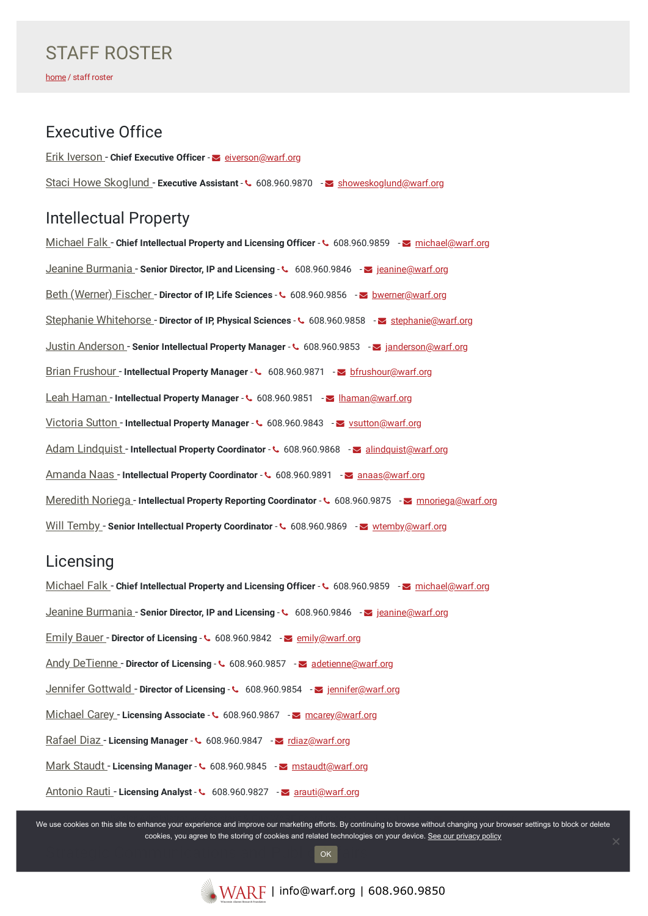## Executive Office

Erik [Iverson](https://www.warf.org/contact-us/erik-iverson/) - **Chief Executive Officer** - [eiverson@warf.org](mailto:eiverson@warf.org) Staci Howe [Skoglund](https://www.warf.org/contact-us/staci-howe-skoglund/) - **Executive Assistant** - 608.960.9870 - [showeskoglund@warf.org](mailto:showeskoglund@warf.org)

# Intellectual Property

[Michael](https://www.warf.org/contact-us/michael-falk/) Falk - **Chief Intellectual Property and Licensing Officer** - 608.960.9859 - [michael@warf.org](mailto:michael@warf.org) Jeanine [Burmania](https://www.warf.org/contact-us/jeanine-burmania/) - **Senior Director, IP and Licensing** - 608.960.9846 - [jeanine@warf.org](mailto:jeanine@warf.org) Beth [\(Werner\)](https://www.warf.org/contact-us/beth-werner/) Fischer - **Director of IP, Life Sciences** - 608.960.9856 - [bwerner@warf.org](mailto:bwerner@warf.org) Stephanie [Whitehorse](https://www.warf.org/contact-us/stephanie-whitehorse/) - **Director of IP, Physical Sciences** - 608.960.9858 - [stephanie@warf.org](mailto:stephanie@warf.org) Justin [Anderson](https://www.warf.org/contact-us/justin-anderson/) - **Senior Intellectual Property Manager** - 608.960.9853 - [janderson@warf.org](mailto:janderson@warf.org) Brian [Frushour](https://www.warf.org/contact-us/brian-frushour/) - **Intellectual Property Manager** - 608.960.9871 - [bfrushour@warf.org](mailto:bfrushour@warf.org) Leah [Haman](https://www.warf.org/contact-us/leah-haman/) - **Intellectual Property Manager** - 608.960.9851 - [lhaman@warf.org](mailto:lhaman@warf.org) [Victoria](https://www.warf.org/contact-us/victoria-sutton/) Sutton - **Intellectual Property Manager** - 608.960.9843 - [vsutton@warf.org](mailto:vsutton@warf.org) Adam [Lindquist](https://www.warf.org/contact-us/adam-lindquist/) - **Intellectual Property Coordinator** - 608.960.9868 - [alindquist@warf.org](mailto:alindquist@warf.org) [Amanda](https://www.warf.org/contact-us/amanda-naas/) Naas - **Intellectual Property Coordinator** - 608.960.9891 - [anaas@warf.org](mailto:anaas@warf.org) [Meredith](https://www.warf.org/contact-us/meredith-noriega/) Noriega - Intellectual Property Reporting Coordinator - ↓ 608.960.9875 - **Morth Containstance** Morriega@warf.org Will [Temby](https://www.warf.org/contact-us/will-temby/) - **Senior Intellectual Property Coordinator** - 608.960.9869 - [wtemby@warf.org](mailto:wtemby@warf.org)

## Licensing

[Michael](https://www.warf.org/contact-us/michael-falk/) Falk - **Chief Intellectual Property and Licensing Officer** - 608.960.9859 - [michael@warf.org](mailto:michael@warf.org) Jeanine [Burmania](https://www.warf.org/contact-us/jeanine-burmania/) - **Senior Director, IP and Licensing** - 608.960.9846 - [jeanine@warf.org](mailto:jeanine@warf.org) Emily [Bauer](https://www.warf.org/contact-us/emily-bauer/) - **Director of Licensing** - 608.960.9842 - [emily@warf.org](mailto:emily@warf.org) Andy [DeTienne](https://www.warf.org/contact-us/andy-detienne/) - **Director of Licensing** - 608.960.9857 - [adetienne@warf.org](mailto:adetienne@warf.org) Jennifer [Gottwald](https://www.warf.org/contact-us/jennifer-gottwald/) - **Director of Licensing** - 608.960.9854 - [jennifer@warf.org](mailto:jennifer@warf.org) [Michael](https://www.warf.org/contact-us/michael-carey/) Carey - **Licensing Associate** - 608.960.9867 - [mcarey@warf.org](mailto:mcarey@warf.org) [Rafael](https://www.warf.org/contact-us/rafael-diaz/) Diaz - Licensing Manager - ↓ 608.960.9847 - S [rdiaz@warf.org](mailto:rdiaz@warf.org) Mark [Staudt](https://www.warf.org/contact-us/mark-staudt/) - **Licensing Manager** - 608.960.9845 - [mstaudt@warf.org](mailto:mstaudt@warf.org) [Antonio](https://www.warf.org/contact-us/antonio-rauti/) Rauti - **Licensing Analyst** - 608.960.9827 - [arauti@warf.org](mailto:arauti@warf.org)

.<br>We use cookies on this site to enhance your experience and improve our marketing efforts. By continuing to browse without changing your browser settings to block or delete cookies, you agree to the storing of cookies and related technologies on your device. [See our privacy policy](https://www.warf.org/privacy-policy/)

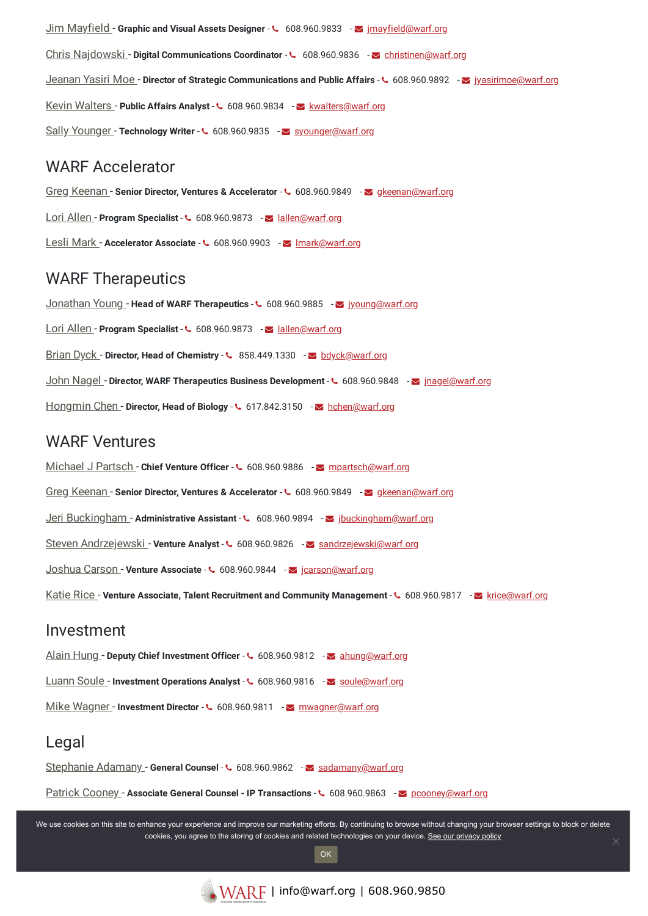Jim [Mayfield](https://www.warf.org/contact-us/jim-mayfield/) - **Graphic and Visual Assets Designer** - 608.960.9833 - [jmayfield@warf.org](mailto:jmayfield@warf.org) Chris [Najdowski](https://www.warf.org/contact-us/chris-najdowski/) - **Digital Communications Coordinator** - 608.960.9836 - [christinen@warf.org](mailto:christinen@warf.org) [Jeanan](https://www.warf.org/contact-us/jeanan-yasiri-moe/) Yasiri Moe - **Director of Strategic Communications and Public Affairs** - 608.960.9892 - [jyasirimoe@warf.org](mailto:jyasirimoe@warf.org) Kevin [Walters](https://www.warf.org/contact-us/kevin-walters/) - **Public Affairs Analyst** - 608.960.9834 - [kwalters@warf.org](mailto:kwalters@warf.org) Sally [Younger](https://www.warf.org/contact-us/sally-younger/) - **Technology Writer - C** 608.960.9835 - [syounger@warf.org](mailto:syounger@warf.org)

#### WARF Accelerator

Greg [Keenan](https://www.warf.org/contact-us/greg-keenan/) - **Senior Director, Ventures & Accelerator** - 608.960.9849 - [gkeenan@warf.org](mailto:gkeenan@warf.org) Lori [Allen](https://www.warf.org/contact-us/lori-allen/) - **Program Specialist** -  $\sim 608.960.9873$  -  $\sim$  [lallen@warf.org](mailto:lallen@warf.org) Lesli [Mark](https://www.warf.org/contact-us/lesli-mark/) - Accelerator Associate - **4** 608.960.9903 - **Imark@warf.org** 

## WARF Therapeutics

[Jonathan](https://www.warf.org/contact-us/jonathan-young/) Young - **Head of WARF Therapeutics** - 608.960.9885 - [jyoung@warf.org](mailto:jyoung@warf.org) Lori [Allen](https://www.warf.org/contact-us/lori-allen/) - **Program Specialist** -  $\sim 608.960.9873$  - allen@warf.org [Brian](https://www.warf.org/contact-us/brian-dyck/) Dyck - **Director, Head of Chemistry** - 858.449.1330 - [bdyck@warf.org](mailto:bdyck@warf.org) John [Nagel](https://www.warf.org/contact-us/john-nagel/) - **Director, WARF Therapeutics Business Development** - 608.960.9848 - [jnagel@warf.org](mailto:jnagel@warf.org) [Hongmin](https://www.warf.org/contact-us/hongmin-chen/) Chen - **Director, Head of Biology** - 617.842.3150 - [hchen@warf.org](mailto:hchen@warf.org)

### WARF Ventures

[Michael](https://www.warf.org/contact-us/michael-j-partsch/) J Partsch - **Chief Venture Officer** - 608.960.9886 - [mpartsch@warf.org](mailto:mpartsch@warf.org) Greg [Keenan](https://www.warf.org/contact-us/greg-keenan/) - **Senior Director, Ventures & Accelerator** - 608.960.9849 - [gkeenan@warf.org](mailto:gkeenan@warf.org) Jeri [Buckingham](https://www.warf.org/contact-us/jeri-buckingham/) -**Administrative Assistant** - 608.960.9894 - [jbuckingham@warf.org](mailto:jbuckingham@warf.org) Steven [Andrzejewski](https://www.warf.org/contact-us/steven-andrzejewski/) - **Venture Analyst** - 608.960.9826 - [sandrzejewski@warf.org](mailto:sandrzejewski@warf.org) [Joshua](https://www.warf.org/contact-us/joshua-carson/) Carson - **Venture Associate** - 608.960.9844 - [jcarson@warf.org](mailto:jcarson@warf.org) [Katie](https://www.warf.org/contact-us/katie-rice/) Rice - **Venture Associate, Talent Recruitment and Community Management** - 608.960.9817 - [krice@warf.org](mailto:krice@warf.org)

#### Investment

Alain [Hung](https://www.warf.org/contact-us/alain-hung/) - **Deputy Chief Investment Officer** - 608.960.9812 - [ahung@warf.org](mailto:ahung@warf.org) [Luann](https://www.warf.org/contact-us/luann-soule/) Soule - Investment Operations Analyst - ↓ 608.960.9816 - Soule@warf.org Mike [Wagner](https://www.warf.org/contact-us/mike-wagner/) - **Investment Director - €** 608.960.9811 - *M* [mwagner@warf.org](mailto:mwagner@warf.org)

## Legal

[Stephanie](https://www.warf.org/contact-us/stephanie-adamany/) Adamany - **General Counsel - €** 608.960.9862 - [sadamany@warf.org](mailto:sadamany@warf.org)

Patrick [Cooney](https://www.warf.org/contact-us/patrick-cooney/) - **Associate General Counsel - IP Transactions** - 608.960.9863 - [pcooney@warf.org](mailto:pcooney@warf.org)

.<br>We use cookies on this site to enhance your experience and improve our marketing efforts. By continuing to browse without changing your browser settings to block or delete cookies, you agree to the storing of cookies and related technologies on your device. [See our privacy policy](https://www.warf.org/privacy-policy/)

OK

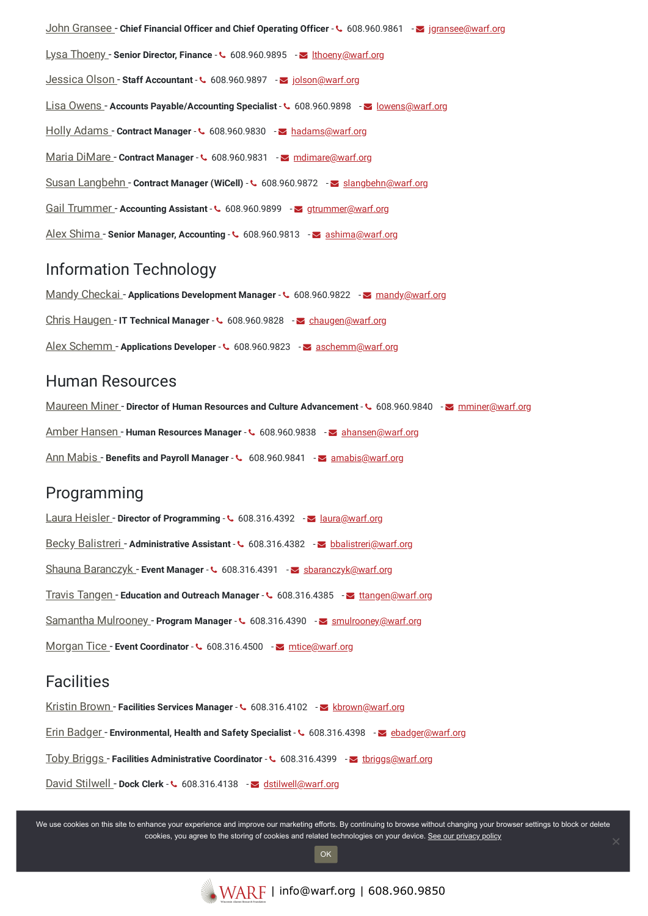John [Gransee](https://www.warf.org/contact-us/john-gransee/) - **Chief Financial Officer and Chief Operating Officer** - 608.960.9861 - [jgransee@warf.org](mailto:jgransee@warf.org) Lysa [Thoeny](https://www.warf.org/contact-us/lysa-thoeny/) - **Senior Director, Finance** - 608.960.9895 - [lthoeny@warf.org](mailto:lthoeny@warf.org) [Jessica](https://www.warf.org/contact-us/jessica-olson/) Olson - **Staff Accountant** - 608.960.9897 - [jolson@warf.org](mailto:jolson@warf.org) Lisa [Owens](https://www.warf.org/contact-us/lisa-owens/) - Accounts Payable/Accounting Specialist - **C** 608.960.9898 - **S** [lowens@warf.org](mailto:lowens@warf.org) Holly [Adams](https://www.warf.org/contact-us/holly-adams/) - Contract Manager - **4** 608.960.9830 - a [hadams@warf.org](mailto:hadams@warf.org) Maria [DiMare](https://www.warf.org/contact-us/maria-dimare/) - **Contract Manager - ↓ 608.960.9831** - <u>omational mate</u>@warf.org Susan [Langbehn](https://www.warf.org/contact-us/susan-langbehn/) - **Contract Manager (WiCell)** - 608.960.9872 - [slangbehn@warf.org](mailto:slangbehn@warf.org) Gail [Trummer](https://www.warf.org/contact-us/gail-trummer/) - Accounting Assistant -  $\cdot$  608.960.9899 - [gtrummer@warf.org](mailto:gtrummer@warf.org) Alex [Shima](https://www.warf.org/contact-us/alex-shima/) - **Senior Manager, Accounting** - 608.960.9813 - [ashima@warf.org](mailto:ashima@warf.org)

## Information Technology

Mandy [Checkai](https://www.warf.org/contact-us/mandy-checkai/) - **Applications Development Manager** - 608.960.9822 - [mandy@warf.org](mailto:mandy@warf.org) Chris [Haugen](https://www.warf.org/contact-us/chris-haugen/) - **IT Technical Manager** - 608.960.9828 - [chaugen@warf.org](mailto:chaugen@warf.org) Alex [Schemm](https://www.warf.org/contact-us/alex-schemm/) - Applications Developer - **4** 608.960.9823 - [aschemm@warf.org](mailto:aschemm@warf.org)

## Human Resources

[Maureen](https://www.warf.org/contact-us/maureen-miner/) Miner - **Director of Human Resources and Culture Advancement** - 608.960.9840 - [mminer@warf.org](mailto:mminer@warf.org) Amber [Hansen](https://www.warf.org/contact-us/amber-hansen/) - **Human Resources Manager** - 608.960.9838 - [ahansen@warf.org](mailto:ahansen@warf.org) Ann [Mabis](https://www.warf.org/contact-us/ann-mabis/) - **Benefits and Payroll Manager** - 608.960.9841 - [amabis@warf.org](mailto:amabis@warf.org)

## **Programming**

Laura [Heisler](https://www.warf.org/contact-us/laura-heisler/) - **Director of Programming** - 608.316.4392 - [laura@warf.org](mailto:laura@warf.org) Becky [Balistreri](https://www.warf.org/contact-us/becky-balistreri/) - **Administrative Assistant** - 608.316.4382 - [bbalistreri@warf.org](mailto:bbalistreri@warf.org) Shauna [Baranczyk](https://www.warf.org/contact-us/shauna-baranczyk/) - **Event Manager - ↓** 608.316.4391 - Sparanczyk@warf.org Travis [Tangen](https://www.warf.org/contact-us/travis-tangen/) - **Education and Outreach Manager** - 608.316.4385 - [ttangen@warf.org](mailto:ttangen@warf.org) Samantha [Mulrooney](https://www.warf.org/contact-us/samantha-mulrooney/) - **Program Manager** - 608.316.4390 - [smulrooney@warf.org](mailto:smulrooney@warf.org) [Morgan](https://www.warf.org/contact-us/morgan-tice/) Tice - **Event Coordinator** -  $\sim 608.316.4500$  -  $\sim$  [mtice@warf.org](mailto:mtice@warf.org)

#### **Facilities**

[Kristin](https://www.warf.org/contact-us/kristin-brown/) Brown - **Facilities Services Manager** - 608.316.4102 - [kbrown@warf.org](mailto:kbrown@warf.org) Erin [Badger](https://www.warf.org/contact-us/erin-badger/) - **Environmental, Health and Safety Specialist** - 608.316.4398 - [ebadger@warf.org](mailto:ebadger@warf.org) Toby [Briggs](https://www.warf.org/contact-us/toby-briggs/) - **Facilities Administrative Coordinator** - 608.316.4399 - [tbriggs@warf.org](mailto:tbriggs@warf.org) David [Stilwell](https://www.warf.org/contact-us/david-stilwell/) - **Dock Clerk** - 608.316.4138 - [dstilwell@warf.org](mailto:dstilwell@warf.org)

We use cookies on this site to enhance your experience and improve our marketing efforts. By continuing to browse without changing your browser settings to block or delete cookies, you agree to the storing of cookies and related technologies on your device. [See our privacy policy](https://www.warf.org/privacy-policy/)